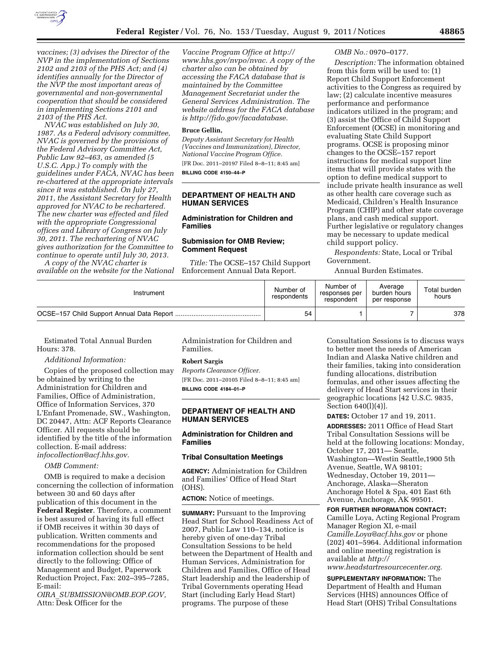

*vaccines; (3) advises the Director of the NVP in the implementation of Sections 2102 and 2103 of the PHS Act; and (4) identifies annually for the Director of the NVP the most important areas of governmental and non-governmental cooperation that should be considered in implementing Sections 2101 and 2103 of the PHS Act.* 

*NVAC was established on July 30, 1987. As a Federal advisory committee, NVAC is governed by the provisions of the Federal Advisory Committee Act, Public Law 92–463, as amended (5 U.S.C. App.) To comply with the guidelines under FACA, NVAC has been re-chartered at the appropriate intervals since it was established. On July 27, 2011, the Assistant Secretary for Health approved for NVAC to be rechartered. The new charter was effected and filed with the appropriate Congressional offices and Library of Congress on July 30, 2011. The rechartering of NVAC gives authorization for the Committee to continue to operate until July 30, 2013.* 

*A copy of the NVAC charter is available on the website for the National* 

*Vaccine Program Office at http:// [www.hhs.gov/nvpo/nvac. A copy of the](http://www.hhs.gov/nvpo/nvac)  charter also can be obtained by accessing the FACA database that is maintained by the Committee Management Secretariat under the General Services Administration. The website address for the FACA database [is http://fido.gov/facadatabase.](http://fido.gov/facadatabase)* 

### **Bruce Gellin,**

*Deputy Assistant Secretary for Health (Vaccines and Immunization), Director, National Vaccine Program Office.*  [FR Doc. 2011–20197 Filed 8–8–11; 8:45 am] **BILLING CODE 4150–44–P** 

# **DEPARTMENT OF HEALTH AND HUMAN SERVICES**

# **Administration for Children and Families**

# **Submission for OMB Review; Comment Request**

*Title:* The OCSE–157 Child Support Enforcement Annual Data Report.

### *OMB No.:* 0970–0177.

*Description:* The information obtained from this form will be used to: (1) Report Child Support Enforcement activities to the Congress as required by law; (2) calculate incentive measures performance and performance indicators utilized in the program; and (3) assist the Office of Child Support Enforcement (OCSE) in monitoring and evaluating State Child Support programs. OCSE is proposing minor changes to the OCSE–157 report instructions for medical support line items that will provide states with the option to define medical support to include private health insurance as well as other health care coverage such as Medicaid, Children's Health Insurance Program (CHIP) and other state coverage plans, and cash medical support. Further legislative or regulatory changes may be necessary to update medical child support policy.

*Respondents:* State, Local or Tribal Government.

Annual Burden Estimates.

| Instrument | Number of<br>respondents | Number of<br>responses per<br>respondent | Average<br>burden hours<br>per response | Total burden<br>hours |
|------------|--------------------------|------------------------------------------|-----------------------------------------|-----------------------|
|            | 54                       |                                          |                                         | 378                   |

Estimated Total Annual Burden Hours: 378.

### *Additional Information:*

Copies of the proposed collection may be obtained by writing to the Administration for Children and Families, Office of Administration, Office of Information Services, 370 L'Enfant Promenade, SW., Washington, DC 20447, Attn: ACF Reports Clearance Officer. All requests should be identified by the title of the information collection. E-mail address: *[infocollection@acf.hhs.gov.](mailto:infocollection@acf.hhs.gov)* 

*OMB Comment:* 

OMB is required to make a decision concerning the collection of information between 30 and 60 days after publication of this document in the **Federal Register**. Therefore, a comment is best assured of having its full effect if OMB receives it within 30 days of publication. Written comments and recommendations for the proposed information collection should be sent directly to the following: Office of Management and Budget, Paperwork Reduction Project, Fax: 202–395–7285, E-mail:

*OIRA*\_*[SUBMISSION@OMB.EOP.GOV,](mailto:OIRA_SUBMISSION@OMB.EOP.GOV)*  Attn: Desk Officer for the

Administration for Children and Families.

### **Robert Sargis**

*Reports Clearance Officer.*  [FR Doc. 2011–20105 Filed 8–8–11; 8:45 am] **BILLING CODE 4184–01–P** 

# **DEPARTMENT OF HEALTH AND HUMAN SERVICES**

# **Administration for Children and Families**

# **Tribal Consultation Meetings**

**AGENCY:** Administration for Children and Families' Office of Head Start (OHS).

# **ACTION:** Notice of meetings.

**SUMMARY:** Pursuant to the Improving Head Start for School Readiness Act of 2007, Public Law 110–134, notice is hereby given of one-day Tribal Consultation Sessions to be held between the Department of Health and Human Services, Administration for Children and Families, Office of Head Start leadership and the leadership of Tribal Governments operating Head Start (including Early Head Start) programs. The purpose of these

Consultation Sessions is to discuss ways to better meet the needs of American Indian and Alaska Native children and their families, taking into consideration funding allocations, distribution formulas, and other issues affecting the delivery of Head Start services in their geographic locations [42 U.S.C. 9835, Section 640(l)(4)].

**DATES:** October 17 and 19, 2011.

**ADDRESSES:** 2011 Office of Head Start Tribal Consultation Sessions will be held at the following locations: Monday, October 17, 2011— Seattle, Washington—Westin Seattle,1900 5th Avenue, Seattle, WA 98101; Wednesday, October 19, 2011— Anchorage, Alaska—Sheraton Anchorage Hotel & Spa, 401 East 6th Avenue, Anchorage, AK 99501.

### **FOR FURTHER INFORMATION CONTACT:**

Camille Loya, Acting Regional Program Manager Region XI, e-mail *[Camille.Loya@acf.hhs.gov](mailto:Camille.Loya@acf.hhs.gov)* or phone (202) 401–5964. Additional information and online meeting registration is available at *[http://](http://www.headstartresourcecenter.org)* 

*[www.headstartresourcecenter.org.](http://www.headstartresourcecenter.org)* 

**SUPPLEMENTARY INFORMATION:** The Department of Health and Human Services (HHS) announces Office of Head Start (OHS) Tribal Consultations